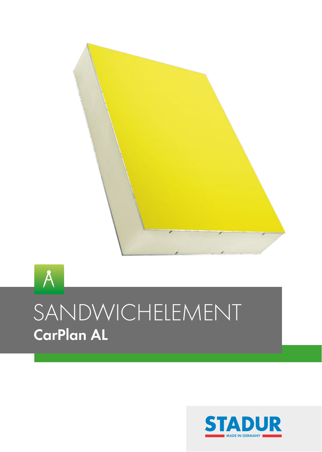

# 4 SANDWICHELEMENT **CarPlan AL**